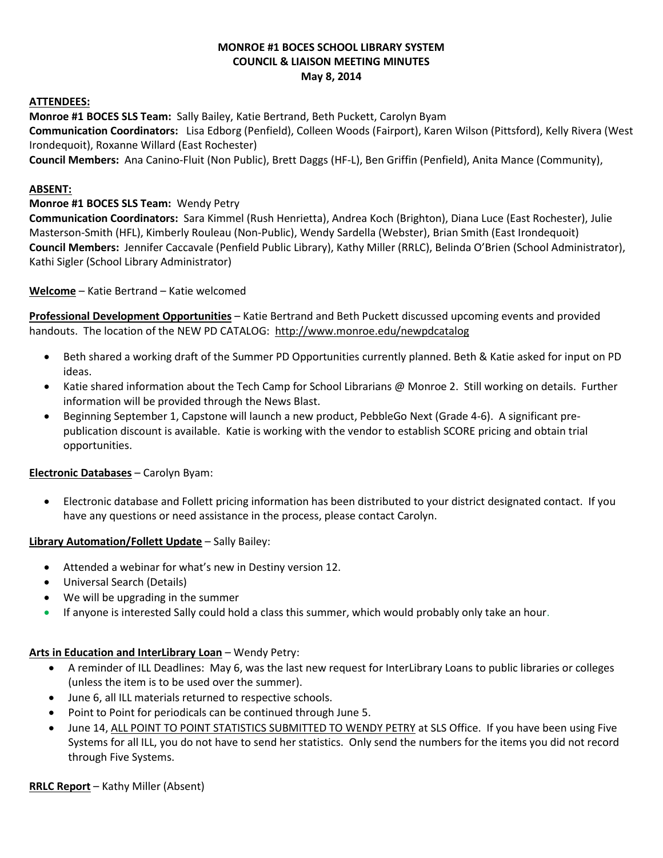### **MONROE #1 BOCES SCHOOL LIBRARY SYSTEM COUNCIL & LIAISON MEETING MINUTES May 8, 2014**

#### **ATTENDEES:**

**Monroe #1 BOCES SLS Team:** Sally Bailey, Katie Bertrand, Beth Puckett, Carolyn Byam **Communication Coordinators:** Lisa Edborg (Penfield), Colleen Woods (Fairport), Karen Wilson (Pittsford), Kelly Rivera (West Irondequoit), Roxanne Willard (East Rochester)

**Council Members:** Ana Canino-Fluit (Non Public), Brett Daggs (HF-L), Ben Griffin (Penfield), Anita Mance (Community),

#### **ABSENT:**

### **Monroe #1 BOCES SLS Team:** Wendy Petry

**Communication Coordinators:** Sara Kimmel (Rush Henrietta), Andrea Koch (Brighton), Diana Luce (East Rochester), Julie Masterson-Smith (HFL), Kimberly Rouleau (Non-Public), Wendy Sardella (Webster), Brian Smith (East Irondequoit) **Council Members:** Jennifer Caccavale (Penfield Public Library), Kathy Miller (RRLC), Belinda O'Brien (School Administrator), Kathi Sigler (School Library Administrator)

**Welcome** – Katie Bertrand – Katie welcomed

**Professional Development Opportunities** – Katie Bertrand and Beth Puckett discussed upcoming events and provided handouts. The location of the NEW PD CATALOG: <http://www.monroe.edu/newpdcatalog>

- Beth shared a working draft of the Summer PD Opportunities currently planned. Beth & Katie asked for input on PD ideas.
- Katie shared information about the Tech Camp for School Librarians @ Monroe 2. Still working on details. Further information will be provided through the News Blast.
- **•** Beginning September 1, Capstone will launch a new product, PebbleGo Next (Grade 4-6). A significant prepublication discount is available. Katie is working with the vendor to establish SCORE pricing and obtain trial opportunities.

### **Electronic Databases** – Carolyn Byam:

 Electronic database and Follett pricing information has been distributed to your district designated contact. If you have any questions or need assistance in the process, please contact Carolyn.

### **Library Automation/Follett Update** – Sally Bailey:

- Attended a webinar for what's new in Destiny version 12.
- Universal Search (Details)
- We will be upgrading in the summer
- **If anyone is interested Sally could hold a class this summer, which would probably only take an hour.**

### **Arts in Education and InterLibrary Loan** – Wendy Petry:

- A reminder of ILL Deadlines: May 6, was the last new request for InterLibrary Loans to public libraries or colleges (unless the item is to be used over the summer).
- June 6, all ILL materials returned to respective schools.
- Point to Point for periodicals can be continued through June 5.
- June 14, ALL POINT TO POINT STATISTICS SUBMITTED TO WENDY PETRY at SLS Office. If you have been using Five Systems for all ILL, you do not have to send her statistics. Only send the numbers for the items you did not record through Five Systems.

### **RRLC Report** – Kathy Miller (Absent)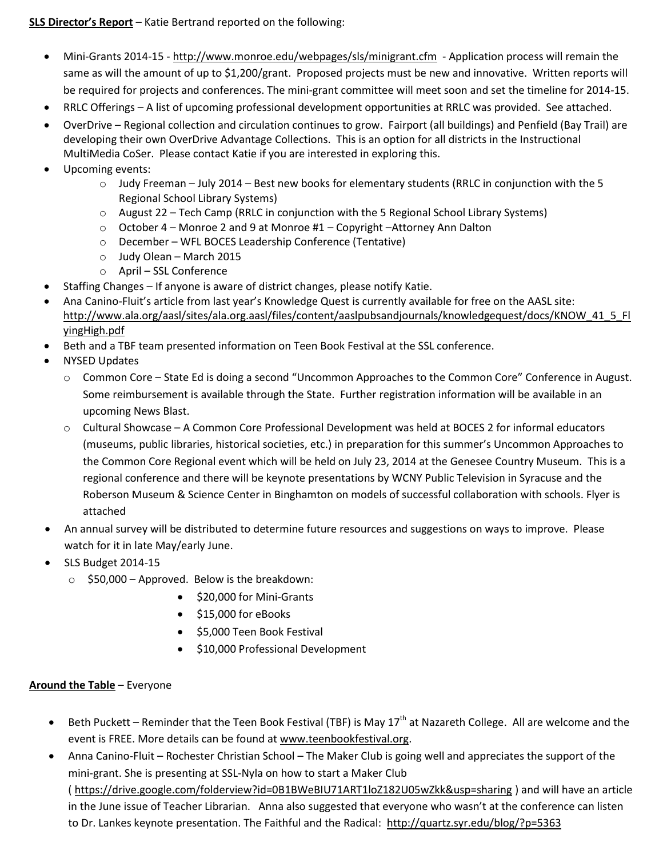# **SLS Director's Report** – Katie Bertrand reported on the following:

- Mini-Grants 2014-15 <http://www.monroe.edu/webpages/sls/minigrant.cfm> Application process will remain the same as will the amount of up to \$1,200/grant. Proposed projects must be new and innovative. Written reports will be required for projects and conferences. The mini-grant committee will meet soon and set the timeline for 2014-15.
- RRLC Offerings A list of upcoming professional development opportunities at RRLC was provided. See attached.
- OverDrive Regional collection and circulation continues to grow. Fairport (all buildings) and Penfield (Bay Trail) are developing their own OverDrive Advantage Collections. This is an option for all districts in the Instructional MultiMedia CoSer. Please contact Katie if you are interested in exploring this.
- Upcoming events:
	- $\circ$  Judy Freeman July 2014 Best new books for elementary students (RRLC in conjunction with the 5 Regional School Library Systems)
	- o August 22 Tech Camp (RRLC in conjunction with the 5 Regional School Library Systems)
	- o October 4 Monroe 2 and 9 at Monroe #1 Copyright –Attorney Ann Dalton
	- o December WFL BOCES Leadership Conference (Tentative)
	- o Judy Olean March 2015
	- o April SSL Conference
- Staffing Changes If anyone is aware of district changes, please notify Katie.
- Ana Canino-Fluit's article from last year's Knowledge Quest is currently available for free on the AASL site: [http://www.ala.org/aasl/sites/ala.org.aasl/files/content/aaslpubsandjournals/knowledgequest/docs/KNOW\\_41\\_5\\_Fl](http://www.ala.org/aasl/sites/ala.org.aasl/files/content/aaslpubsandjournals/knowledgequest/docs/KNOW_41_5_FlyingHigh.pdf) [yingHigh.pdf](http://www.ala.org/aasl/sites/ala.org.aasl/files/content/aaslpubsandjournals/knowledgequest/docs/KNOW_41_5_FlyingHigh.pdf)
- Beth and a TBF team presented information on Teen Book Festival at the SSL conference.
- NYSED Updates
	- o Common Core State Ed is doing a second "Uncommon Approaches to the Common Core" Conference in August. Some reimbursement is available through the State. Further registration information will be available in an upcoming News Blast.
	- o Cultural Showcase A Common Core Professional Development was held at BOCES 2 for informal educators (museums, public libraries, historical societies, etc.) in preparation for this summer's Uncommon Approaches to the Common Core Regional event which will be held on July 23, 2014 at the Genesee Country Museum. This is a regional conference and there will be keynote presentations by WCNY Public Television in Syracuse and the Roberson Museum & Science Center in Binghamton on models of successful collaboration with schools. Flyer is attached
- An annual survey will be distributed to determine future resources and suggestions on ways to improve. Please watch for it in late May/early June.
- SLS Budget 2014-15
	- $\circ$  \$50,000 Approved. Below is the breakdown:
		- \$20,000 for Mini-Grants
		- $\bullet$  \$15,000 for eBooks
		- **S5,000 Teen Book Festival**
		- \$10,000 Professional Development

## **Around the Table** – Everyone

- Beth Puckett Reminder that the Teen Book Festival (TBF) is May  $17<sup>th</sup>$  at Nazareth College. All are welcome and the event is FREE. More details can be found a[t www.teenbookfestival.org.](http://www.teenbookfestival.org/)
- Anna Canino-Fluit Rochester Christian School The Maker Club is going well and appreciates the support of the mini-grant. She is presenting at SSL-Nyla on how to start a Maker Club ( https://drive.google.com/folderview?id=0B1BWeBIU71ART1loZ182U05wZkk&usp=sharing ) and will have an article in the June issue of Teacher Librarian. Anna also suggested that everyone who wasn't at the conference can listen to Dr. Lankes keynote presentation. The Faithful and the Radical: <http://quartz.syr.edu/blog/?p=5363>